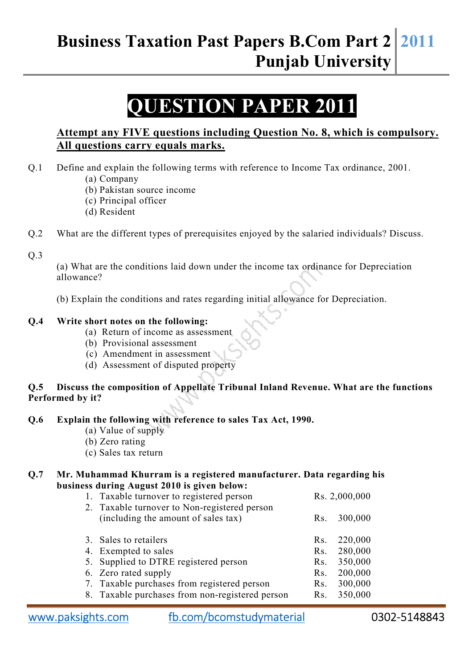# **Business Taxation Past Papers B.Com Part 2 Punjab University 2011**

# **ESTION PAPER 201**

## **Attempt any FIVE questions including Question No. 8, which is compulsory. All questions carry equals marks.**

- Q.1 Define and explain the following terms with reference to Income Tax ordinance, 2001. (a) Company
	- (b) Pakistan source income
	- (c) Principal officer
	- (d) Resident
- Q.2 What are the different types of prerequisites enjoyed by the salaried individuals? Discuss.

Q.3

(a) What are the conditions laid down under the income tax ordinance for Depreciation allowance?

(b) Explain the conditions and rates regarding initial allowance for Depreciation.

#### **Q.4 Write short notes on the following:**

- (a) Return of income as assessment
- (b) Provisional assessment
- (c) Amendment in assessment
- (d) Assessment of disputed property

### **Q.5 Discuss the composition of Appellate Tribunal Inland Revenue. What are the functions Performed by it?**

#### **Q.6 Explain the following with reference to sales Tax Act, 1990.**

- (a) Value of supply
- (b) Zero rating
- (c) Sales tax return

#### **Q.7 Mr. Muhammad Khurram is a registered manufacturer. Data regarding his business during August 2010 is given below:**

| 1. Taxable turnover to registered person        | Rs. 2,000,000 |         |
|-------------------------------------------------|---------------|---------|
| 2. Taxable turnover to Non-registered person    |               |         |
| (including the amount of sales tax)             | Rs.           | 300,000 |
|                                                 |               |         |
| 3. Sales to retailers                           | Rs.           | 220,000 |
| 4. Exempted to sales                            | Rs.           | 280,000 |
| 5. Supplied to DTRE registered person           | Rs.           | 350,000 |
| 6. Zero rated supply                            | Rs.           | 200,000 |
| 7. Taxable purchases from registered person     | Rs.           | 300,000 |
| 8. Taxable purchases from non-registered person | Rs.           | 350,000 |

www.paksights.com fb.com/bcomstudymaterial 0302-5148843